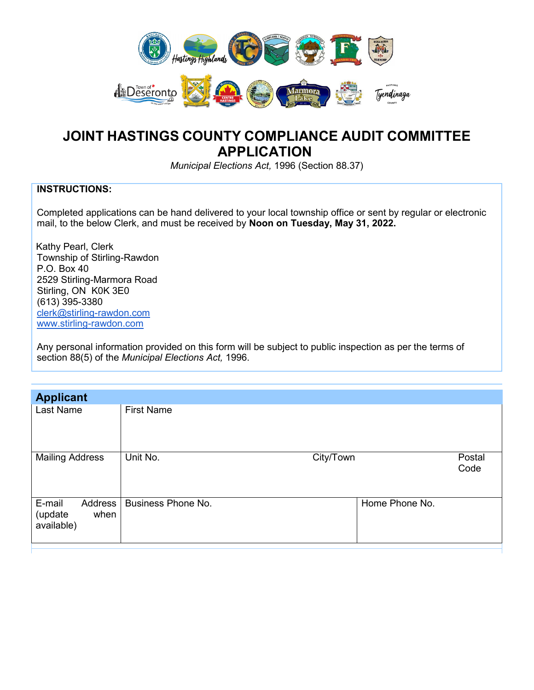

## **JOINT HASTINGS COUNTY COMPLIANCE AUDIT COMMITTEE APPLICATION**

*Municipal Elections Act,* 1996 (Section 88.37)

## **INSTRUCTIONS:**

Completed applications can be hand delivered to your local township office or sent by regular or electronic mail, to the below Clerk, and must be received by **Noon on Tuesday, May 31, 2022.**

 Kathy Pearl, Clerk Township of Stirling-Rawdon P.O. Box 40 2529 Stirling-Marmora Road Stirling, ON K0K 3E0 (613) 395-3380 [clerk@stirling-rawdon.com](mailto:clerk@stirling-rawdon.com) [www.stirling-rawdon.com](http://www.stirling-rawdon.com/)

Any personal information provided on this form will be subject to public inspection as per the terms of section 88(5) of the *Municipal Elections Act,* 1996.

| <b>Applicant</b>                                   |                           |                |
|----------------------------------------------------|---------------------------|----------------|
| Last Name                                          | <b>First Name</b>         |                |
| <b>Mailing Address</b>                             | Unit No.<br>City/Town     | Postal<br>Code |
| E-mail<br>Address<br>(update<br>when<br>available) | <b>Business Phone No.</b> | Home Phone No. |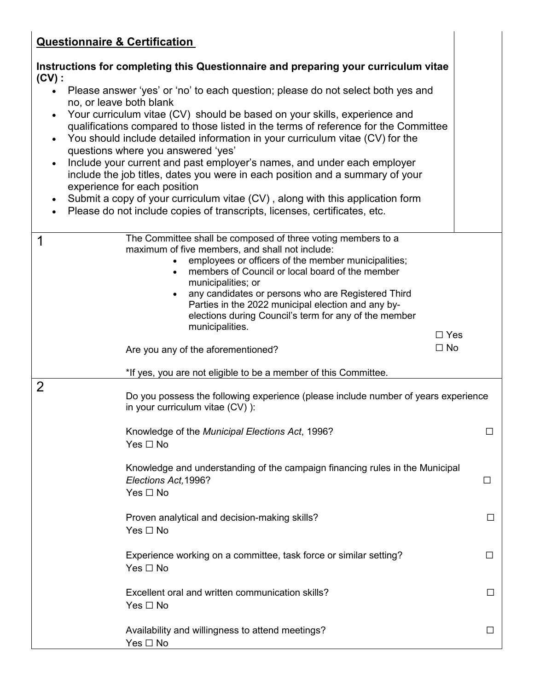## **Questionnaire & Certification**

|                                                  | <u>Questionnaire &amp; Gertincation</u>                                                                                                                                                                                                                                                                                                                                                                                                                                                                                                                                                                                                                                                                                                                         |        |
|--------------------------------------------------|-----------------------------------------------------------------------------------------------------------------------------------------------------------------------------------------------------------------------------------------------------------------------------------------------------------------------------------------------------------------------------------------------------------------------------------------------------------------------------------------------------------------------------------------------------------------------------------------------------------------------------------------------------------------------------------------------------------------------------------------------------------------|--------|
| $(CV)$ :                                         | Instructions for completing this Questionnaire and preparing your curriculum vitae                                                                                                                                                                                                                                                                                                                                                                                                                                                                                                                                                                                                                                                                              |        |
| $\bullet$<br>$\bullet$<br>$\bullet$<br>$\bullet$ | Please answer 'yes' or 'no' to each question; please do not select both yes and<br>no, or leave both blank<br>Your curriculum vitae (CV) should be based on your skills, experience and<br>qualifications compared to those listed in the terms of reference for the Committee<br>You should include detailed information in your curriculum vitae (CV) for the<br>questions where you answered 'yes'<br>Include your current and past employer's names, and under each employer<br>include the job titles, dates you were in each position and a summary of your<br>experience for each position<br>Submit a copy of your curriculum vitae (CV), along with this application form<br>Please do not include copies of transcripts, licenses, certificates, etc. |        |
| 1                                                | The Committee shall be composed of three voting members to a<br>maximum of five members, and shall not include:<br>employees or officers of the member municipalities;<br>members of Council or local board of the member<br>municipalities; or<br>any candidates or persons who are Registered Third<br>$\bullet$<br>Parties in the 2022 municipal election and any by-<br>elections during Council's term for any of the member<br>municipalities.<br>$\Box$ Yes<br>$\Box$ No<br>Are you any of the aforementioned?                                                                                                                                                                                                                                           |        |
|                                                  | *If yes, you are not eligible to be a member of this Committee.                                                                                                                                                                                                                                                                                                                                                                                                                                                                                                                                                                                                                                                                                                 |        |
| $\overline{2}$                                   | Do you possess the following experience (please include number of years experience<br>in your curriculum vitae (CV) ):                                                                                                                                                                                                                                                                                                                                                                                                                                                                                                                                                                                                                                          |        |
|                                                  | Knowledge of the Municipal Elections Act, 1996?<br>Yes $\Box$ No                                                                                                                                                                                                                                                                                                                                                                                                                                                                                                                                                                                                                                                                                                | $\Box$ |
|                                                  | Knowledge and understanding of the campaign financing rules in the Municipal<br>Elections Act, 1996?<br>Yes □ No                                                                                                                                                                                                                                                                                                                                                                                                                                                                                                                                                                                                                                                | $\Box$ |
|                                                  | Proven analytical and decision-making skills?<br>Yes □ No                                                                                                                                                                                                                                                                                                                                                                                                                                                                                                                                                                                                                                                                                                       | $\Box$ |
|                                                  | Experience working on a committee, task force or similar setting?<br>Yes □ No                                                                                                                                                                                                                                                                                                                                                                                                                                                                                                                                                                                                                                                                                   | ⊔      |
|                                                  | Excellent oral and written communication skills?<br>Yes □ No                                                                                                                                                                                                                                                                                                                                                                                                                                                                                                                                                                                                                                                                                                    | $\Box$ |
|                                                  | Availability and willingness to attend meetings?<br>Yes □ No                                                                                                                                                                                                                                                                                                                                                                                                                                                                                                                                                                                                                                                                                                    | $\Box$ |